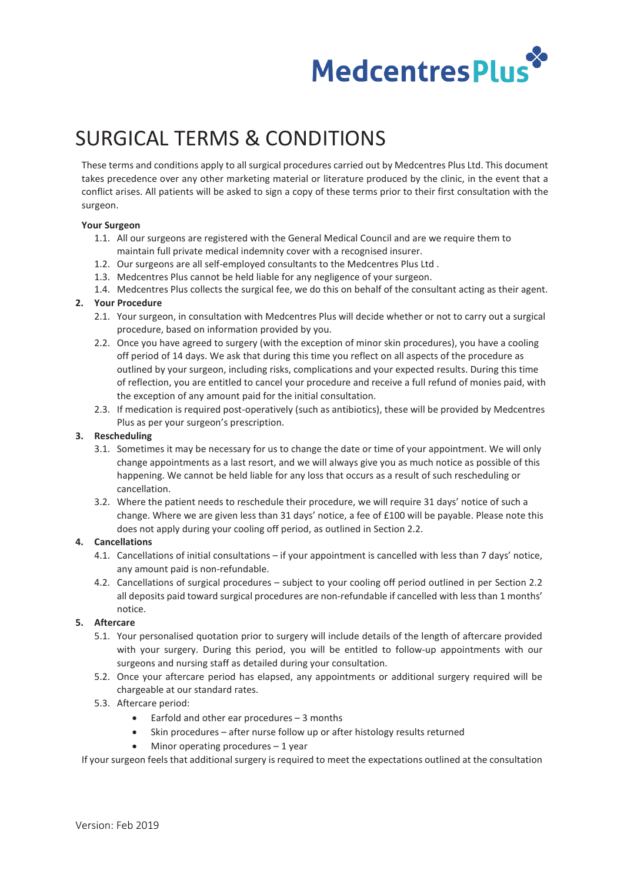

# SURGICAL TERMS & CONDITIONS

These terms and conditions apply to all surgical procedures carried out by Medcentres Plus Ltd. This document takes precedence over any other marketing material or literature produced by the clinic, in the event that a conflict arises. All patients will be asked to sign a copy of these terms prior to their first consultation with the surgeon.

## **Your Surgeon**

- 1.1. All our surgeons are registered with the General Medical Council and are we require them to maintain full private medical indemnity cover with a recognised insurer.
- 1.2. Our surgeons are all self-employed consultants to the Medcentres Plus Ltd .
- 1.3. Medcentres Plus cannot be held liable for any negligence of your surgeon.
- 1.4. Medcentres Plus collects the surgical fee, we do this on behalf of the consultant acting as their agent.

## **2. Your Procedure**

- 2.1. Your surgeon, in consultation with Medcentres Plus will decide whether or not to carry out a surgical procedure, based on information provided by you.
- 2.2. Once you have agreed to surgery (with the exception of minor skin procedures), you have a cooling off period of 14 days. We ask that during this time you reflect on all aspects of the procedure as outlined by your surgeon, including risks, complications and your expected results. During this time of reflection, you are entitled to cancel your procedure and receive a full refund of monies paid, with the exception of any amount paid for the initial consultation.
- 2.3. If medication is required post-operatively (such as antibiotics), these will be provided by Medcentres Plus as per your surgeon's prescription.

## **3. Rescheduling**

- 3.1. Sometimes it may be necessary for us to change the date or time of your appointment. We will only change appointments as a last resort, and we will always give you as much notice as possible of this happening. We cannot be held liable for any loss that occurs as a result of such rescheduling or cancellation.
- 3.2. Where the patient needs to reschedule their procedure, we will require 31 days' notice of such a change. Where we are given less than 31 days' notice, a fee of £100 will be payable. Please note this does not apply during your cooling off period, as outlined in Section 2.2.

## **4. Cancellations**

- 4.1. Cancellations of initial consultations if your appointment is cancelled with less than 7 days' notice, any amount paid is non-refundable.
- 4.2. Cancellations of surgical procedures subject to your cooling off period outlined in per Section 2.2 all deposits paid toward surgical procedures are non-refundable if cancelled with less than 1 months' notice.

# **5. Aftercare**

- 5.1. Your personalised quotation prior to surgery will include details of the length of aftercare provided with your surgery. During this period, you will be entitled to follow-up appointments with our surgeons and nursing staff as detailed during your consultation.
- 5.2. Once your aftercare period has elapsed, any appointments or additional surgery required will be chargeable at our standard rates.
- 5.3. Aftercare period:
	- Earfold and other ear procedures 3 months
	- Skin procedures after nurse follow up or after histology results returned
	- Minor operating procedures  $-1$  year

If your surgeon feels that additional surgery is required to meet the expectations outlined at the consultation